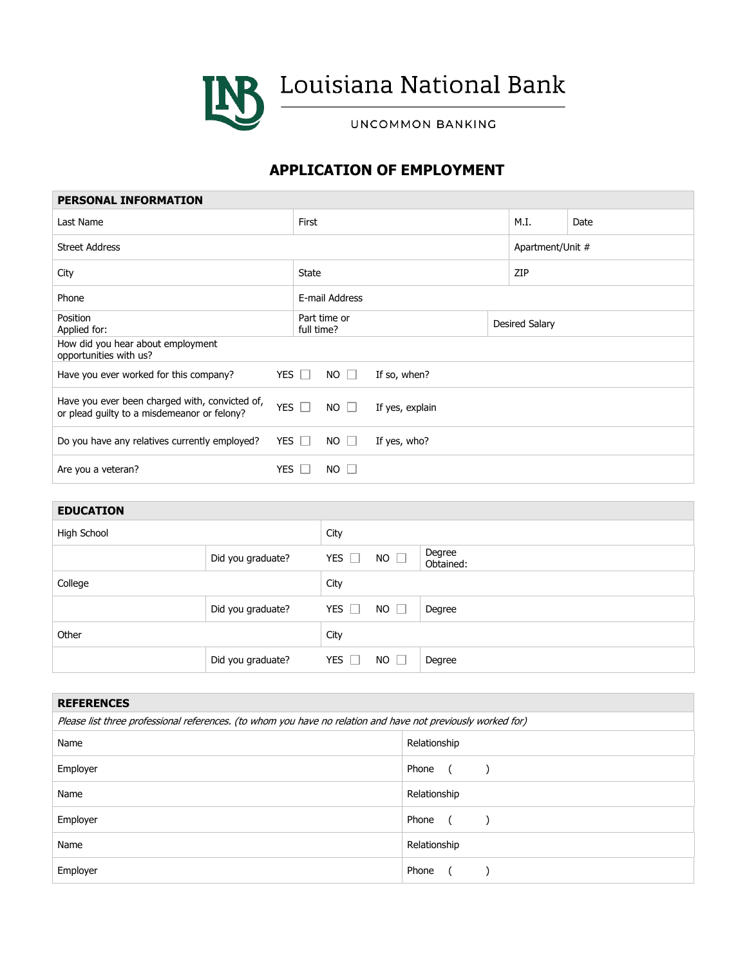

**INS** Louisiana National Bank

UNCOMMON BANKING

## **APPLICATION OF EMPLOYMENT**

| <b>PERSONAL INFORMATION</b>                                                                   |            |                            |                 |                |                  |      |
|-----------------------------------------------------------------------------------------------|------------|----------------------------|-----------------|----------------|------------------|------|
| Last Name                                                                                     | First      |                            |                 | M.I.           |                  | Date |
| <b>Street Address</b>                                                                         |            |                            |                 |                | Apartment/Unit # |      |
| City                                                                                          | State      |                            |                 | ZIP            |                  |      |
| Phone                                                                                         |            | E-mail Address             |                 |                |                  |      |
| Position<br>Applied for:                                                                      |            | Part time or<br>full time? |                 | Desired Salary |                  |      |
| How did you hear about employment<br>opportunities with us?                                   |            |                            |                 |                |                  |      |
| Have you ever worked for this company?                                                        | YES $\Box$ | $NO \Box$                  | If so, when?    |                |                  |      |
| Have you ever been charged with, convicted of,<br>or plead guilty to a misdemeanor or felony? | YES $\Box$ | $NO \Box$                  | If yes, explain |                |                  |      |
| Do you have any relatives currently employed?                                                 | YES $\Box$ | $NO \Box$                  | If yes, who?    |                |                  |      |
| Are you a veteran?                                                                            | YES I      | $NO$ $\Box$                |                 |                |                  |      |

## **EDUCATION**

| <b>LDUUNI IUIT</b> |                   |               |              |                     |
|--------------------|-------------------|---------------|--------------|---------------------|
| High School        |                   | City          |              |                     |
|                    | Did you graduate? | YES<br>$\Box$ | NO $\square$ | Degree<br>Obtained: |
| College            |                   | City          |              |                     |
|                    | Did you graduate? | YES $\Box$    | NO           | Degree              |
| Other              |                   | City          |              |                     |
|                    | Did you graduate? | YES<br>$\Box$ | NO           | Degree              |

| <b>REFERENCES</b>                                                                                            |                     |  |  |  |  |
|--------------------------------------------------------------------------------------------------------------|---------------------|--|--|--|--|
| Please list three professional references. (to whom you have no relation and have not previously worked for) |                     |  |  |  |  |
| Name                                                                                                         | Relationship        |  |  |  |  |
| Employer                                                                                                     | Phone               |  |  |  |  |
| Name                                                                                                         | Relationship        |  |  |  |  |
| Employer                                                                                                     | Phone<br>$\epsilon$ |  |  |  |  |
| Name                                                                                                         | Relationship        |  |  |  |  |
| Employer                                                                                                     | Phone               |  |  |  |  |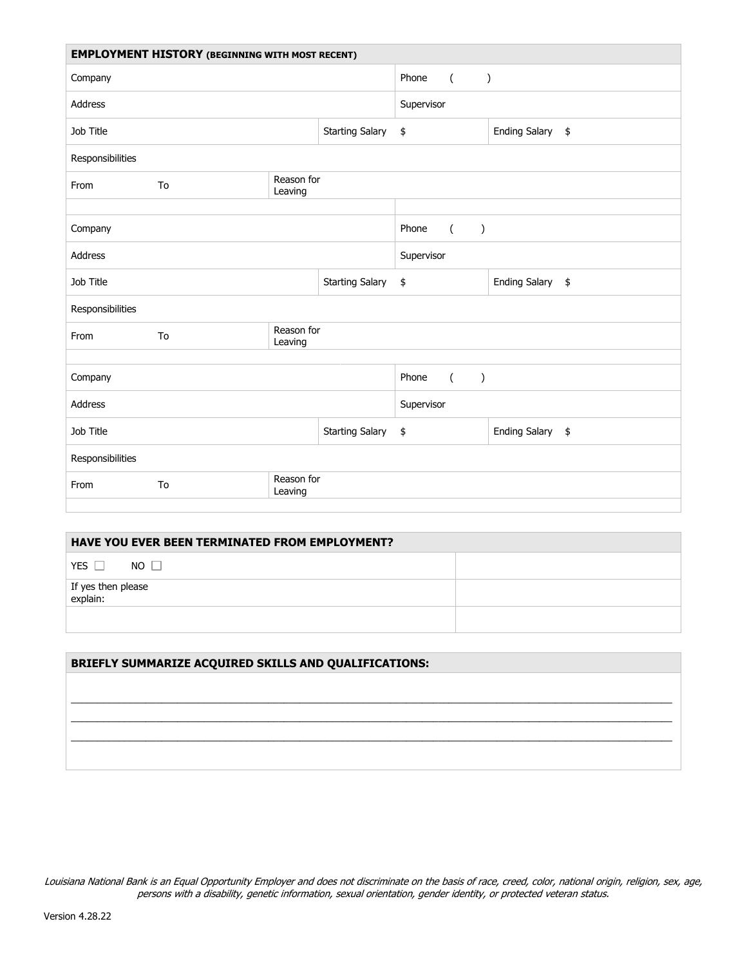| <b>EMPLOYMENT HISTORY (BEGINNING WITH MOST RECENT)</b> |                             |                       |                         |                                          |                  |  |
|--------------------------------------------------------|-----------------------------|-----------------------|-------------------------|------------------------------------------|------------------|--|
| Company                                                |                             |                       | Phone<br>$\overline{a}$ | $\lambda$                                |                  |  |
| Address                                                |                             |                       | Supervisor              |                                          |                  |  |
| Job Title<br><b>Starting Salary</b>                    |                             |                       | \$                      | Ending Salary \$                         |                  |  |
| Responsibilities                                       |                             |                       |                         |                                          |                  |  |
| From                                                   | Reason for<br>To<br>Leaving |                       |                         |                                          |                  |  |
|                                                        |                             |                       |                         |                                          |                  |  |
| Company                                                |                             |                       |                         | Phone<br>$\overline{a}$<br>$\lambda$     |                  |  |
| Address                                                |                             |                       | Supervisor              |                                          |                  |  |
| Job Title<br><b>Starting Salary</b>                    |                             | \$                    | Ending Salary \$        |                                          |                  |  |
| Responsibilities                                       |                             |                       |                         |                                          |                  |  |
| From                                                   | To                          | Reason for<br>Leaving |                         |                                          |                  |  |
|                                                        |                             |                       |                         |                                          |                  |  |
| Company                                                |                             |                       |                         | $\overline{a}$<br>Phone<br>$\mathcal{E}$ |                  |  |
| <b>Address</b>                                         |                             |                       |                         | Supervisor                               |                  |  |
| Job Title                                              |                             |                       | <b>Starting Salary</b>  | \$                                       | Ending Salary \$ |  |
| Responsibilities                                       |                             |                       |                         |                                          |                  |  |
| From                                                   | To                          | Reason for<br>Leaving |                         |                                          |                  |  |
|                                                        |                             |                       |                         |                                          |                  |  |

| HAVE YOU EVER BEEN TERMINATED FROM EMPLOYMENT? |  |  |  |  |
|------------------------------------------------|--|--|--|--|
| YES <sub>I</sub><br>$NO$ $\Box$                |  |  |  |  |
| If yes then please<br>explain:                 |  |  |  |  |
|                                                |  |  |  |  |

| BRIEFLY SUMMARIZE ACQUIRED SKILLS AND QUALIFICATIONS: |  |  |  |  |
|-------------------------------------------------------|--|--|--|--|
|                                                       |  |  |  |  |
|                                                       |  |  |  |  |
|                                                       |  |  |  |  |
|                                                       |  |  |  |  |
|                                                       |  |  |  |  |

Louisiana National Bank is an Equal Opportunity Employer and does not discriminate on the basis of race, creed, color, national origin, religion, sex, age, persons with a disability, genetic information, sexual orientation, gender identity, or protected veteran status.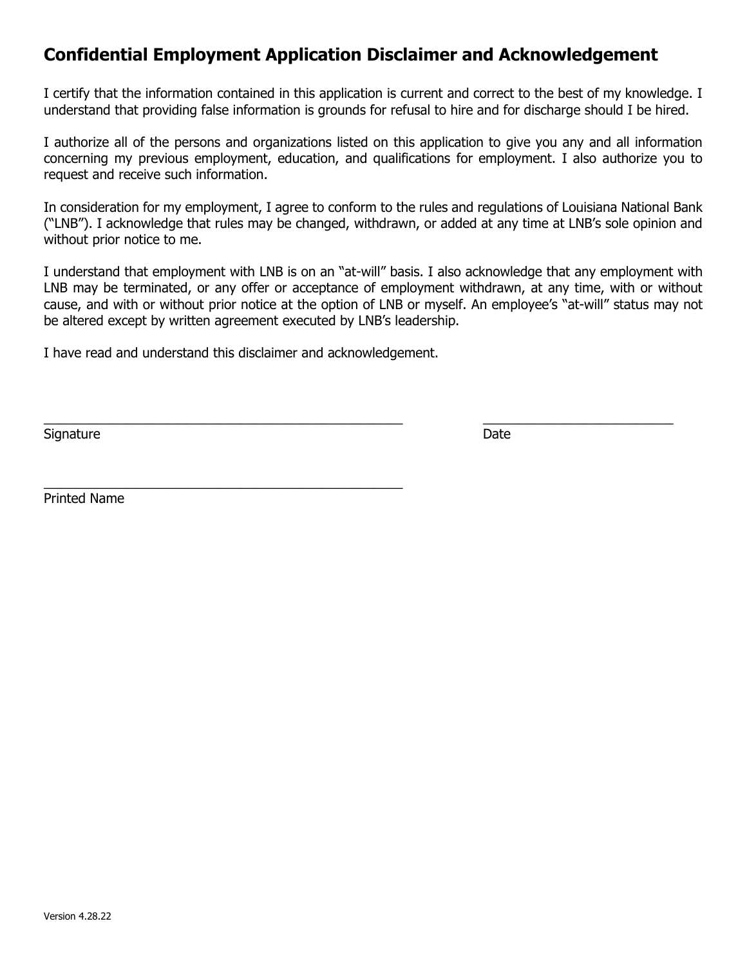## **Confidential Employment Application Disclaimer and Acknowledgement**

I certify that the information contained in this application is current and correct to the best of my knowledge. I understand that providing false information is grounds for refusal to hire and for discharge should I be hired.

I authorize all of the persons and organizations listed on this application to give you any and all information concerning my previous employment, education, and qualifications for employment. I also authorize you to request and receive such information.

In consideration for my employment, I agree to conform to the rules and regulations of Louisiana National Bank ("LNB"). I acknowledge that rules may be changed, withdrawn, or added at any time at LNB's sole opinion and without prior notice to me.

I understand that employment with LNB is on an "at-will" basis. I also acknowledge that any employment with LNB may be terminated, or any offer or acceptance of employment withdrawn, at any time, with or without cause, and with or without prior notice at the option of LNB or myself. An employee's "at-will" status may not be altered except by written agreement executed by LNB's leadership.

 $\_$  , and the set of the set of the set of the set of the set of the set of the set of the set of the set of the set of the set of the set of the set of the set of the set of the set of the set of the set of the set of th

I have read and understand this disclaimer and acknowledgement.

\_\_\_\_\_\_\_\_\_\_\_\_\_\_\_\_\_\_\_\_\_\_\_\_\_\_\_\_\_\_\_\_\_\_\_\_\_\_\_\_\_\_\_\_\_\_\_\_\_

Signature Date Date of the Date of the Date of the Date of the Date of the Date of the Date of the Date of the Date of the Date of the Date of the Date of the Date of the Date of the Date of the Date of the Date of the Dat

Printed Name